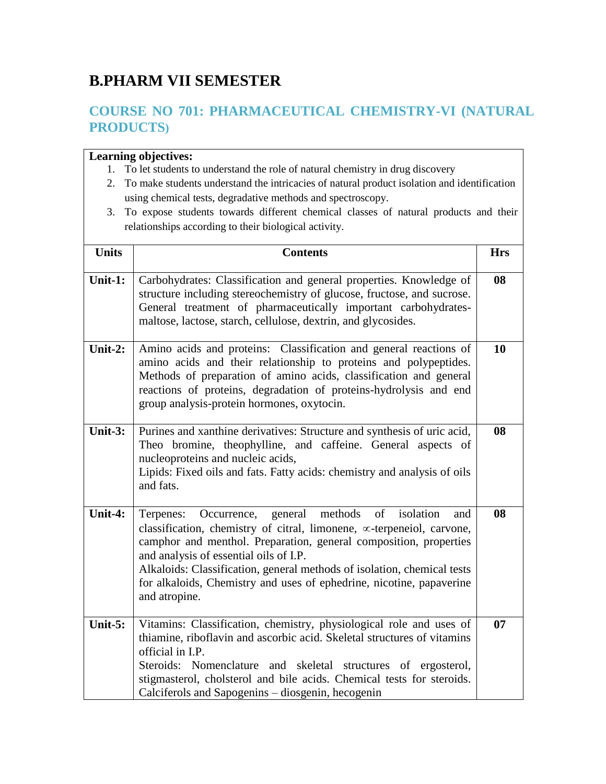# **B.PHARM VII SEMESTER**

# **COURSE NO 701: PHARMACEUTICAL CHEMISTRY-VI (NATURAL PRODUCTS)**

- 1. To let students to understand the role of natural chemistry in drug discovery
- 2. To make students understand the intricacies of natural product isolation and identification using chemical tests, degradative methods and spectroscopy.
- 3. To expose students towards different chemical classes of natural products and their relationships according to their biological activity.

| <b>Units</b> | <b>Contents</b>                                                                                                                                                                                                                                                                                                                                                                                                                           | <b>Hrs</b> |
|--------------|-------------------------------------------------------------------------------------------------------------------------------------------------------------------------------------------------------------------------------------------------------------------------------------------------------------------------------------------------------------------------------------------------------------------------------------------|------------|
| Unit-1:      | Carbohydrates: Classification and general properties. Knowledge of<br>structure including stereochemistry of glucose, fructose, and sucrose.<br>General treatment of pharmaceutically important carbohydrates-<br>maltose, lactose, starch, cellulose, dextrin, and glycosides.                                                                                                                                                           | 08         |
| Unit-2:      | Amino acids and proteins: Classification and general reactions of<br>amino acids and their relationship to proteins and polypeptides.<br>Methods of preparation of amino acids, classification and general<br>reactions of proteins, degradation of proteins-hydrolysis and end<br>group analysis-protein hormones, oxytocin.                                                                                                             | 10         |
| Unit- $3:$   | Purines and xanthine derivatives: Structure and synthesis of uric acid,<br>Theo bromine, theophylline, and caffeine. General aspects of<br>nucleoproteins and nucleic acids,<br>Lipids: Fixed oils and fats. Fatty acids: chemistry and analysis of oils<br>and fats.                                                                                                                                                                     | 08         |
| Unit-4:      | general<br>methods<br>of isolation<br>Occurrence,<br>Terpenes:<br>and<br>classification, chemistry of citral, limonene, $\infty$ -terpeneiol, carvone,<br>camphor and menthol. Preparation, general composition, properties<br>and analysis of essential oils of I.P.<br>Alkaloids: Classification, general methods of isolation, chemical tests<br>for alkaloids, Chemistry and uses of ephedrine, nicotine, papaverine<br>and atropine. | 08         |
| Unit- $5:$   | Vitamins: Classification, chemistry, physiological role and uses of<br>thiamine, riboflavin and ascorbic acid. Skeletal structures of vitamins<br>official in I.P.<br>Steroids: Nomenclature and skeletal structures of ergosterol,<br>stigmasterol, cholsterol and bile acids. Chemical tests for steroids.<br>Calciferols and Sapogenins – diosgenin, hecogenin                                                                         | 07         |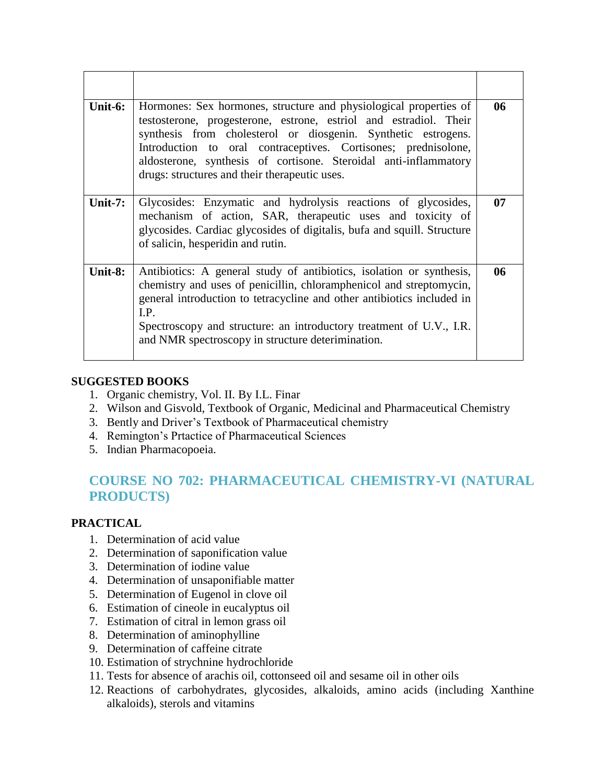| Unit-6: | Hormones: Sex hormones, structure and physiological properties of<br>testosterone, progesterone, estrone, estriol and estradiol. Their<br>synthesis from cholesterol or diosgenin. Synthetic estrogens.<br>Introduction to oral contraceptives. Cortisones; prednisolone,<br>aldosterone, synthesis of cortisone. Steroidal anti-inflammatory<br>drugs: structures and their therapeutic uses. | 06 |
|---------|------------------------------------------------------------------------------------------------------------------------------------------------------------------------------------------------------------------------------------------------------------------------------------------------------------------------------------------------------------------------------------------------|----|
| Unit-7: | Glycosides: Enzymatic and hydrolysis reactions of glycosides,<br>mechanism of action, SAR, therapeutic uses and toxicity of<br>glycosides. Cardiac glycosides of digitalis, bufa and squill. Structure<br>of salicin, hesperidin and rutin.                                                                                                                                                    | 07 |
| Unit-8: | Antibiotics: A general study of antibiotics, isolation or synthesis,<br>chemistry and uses of penicillin, chloramphenicol and streptomycin,<br>general introduction to tetracycline and other antibiotics included in<br>I.P.<br>Spectroscopy and structure: an introductory treatment of U.V., I.R.<br>and NMR spectroscopy in structure deterimination.                                      | 06 |

#### **SUGGESTED BOOKS**

- 1. Organic chemistry, Vol. II. By I.L. Finar
- 2. Wilson and Gisvold, Textbook of Organic, Medicinal and Pharmaceutical Chemistry
- 3. Bently and Driver's Textbook of Pharmaceutical chemistry
- 4. Remington's Prtactice of Pharmaceutical Sciences
- 5. Indian Pharmacopoeia.

# **COURSE NO 702: PHARMACEUTICAL CHEMISTRY-VI (NATURAL PRODUCTS)**

### **PRACTICAL**

- 1. Determination of acid value
- 2. Determination of saponification value
- 3. Determination of iodine value
- 4. Determination of unsaponifiable matter
- 5. Determination of Eugenol in clove oil
- 6. Estimation of cineole in eucalyptus oil
- 7. Estimation of citral in lemon grass oil
- 8. Determination of aminophylline
- 9. Determination of caffeine citrate
- 10. Estimation of strychnine hydrochloride
- 11. Tests for absence of arachis oil, cottonseed oil and sesame oil in other oils
- 12. Reactions of carbohydrates, glycosides, alkaloids, amino acids (including Xanthine alkaloids), sterols and vitamins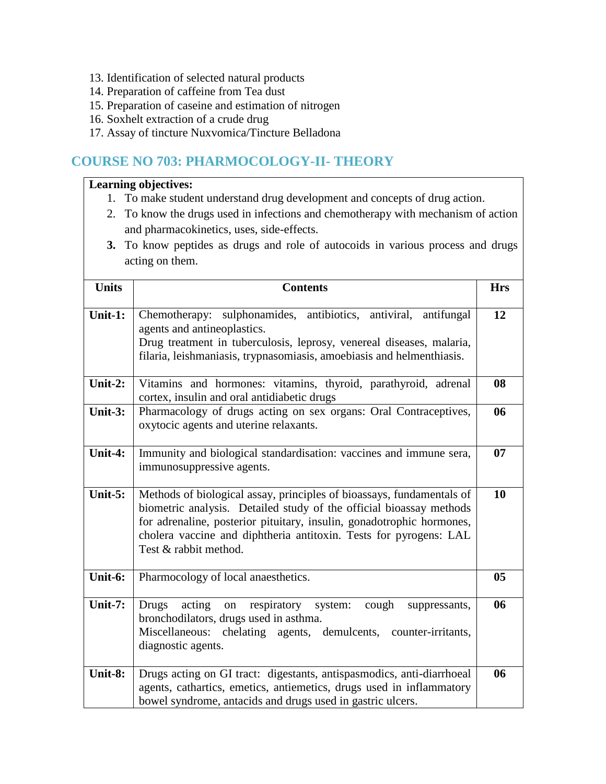- 13. Identification of selected natural products
- 14. Preparation of caffeine from Tea dust
- 15. Preparation of caseine and estimation of nitrogen
- 16. Soxhelt extraction of a crude drug
- 17. Assay of tincture Nuxvomica/Tincture Belladona

## **COURSE NO 703: PHARMOCOLOGY-II- THEORY**

- 1. To make student understand drug development and concepts of drug action.
- 2. To know the drugs used in infections and chemotherapy with mechanism of action and pharmacokinetics, uses, side-effects.
- **3.** To know peptides as drugs and role of autocoids in various process and drugs acting on them.

| <b>Units</b> | <b>Contents</b>                                                                                                                                                                                                                                                                                                     | <b>Hrs</b>     |
|--------------|---------------------------------------------------------------------------------------------------------------------------------------------------------------------------------------------------------------------------------------------------------------------------------------------------------------------|----------------|
| Unit-1:      | Chemotherapy: sulphonamides, antibiotics, antiviral,<br>antifungal<br>agents and antineoplastics.<br>Drug treatment in tuberculosis, leprosy, venereal diseases, malaria,<br>filaria, leishmaniasis, trypnasomiasis, amoebiasis and helmenthiasis.                                                                  | 12             |
| Unit-2:      | Vitamins and hormones: vitamins, thyroid, parathyroid, adrenal<br>cortex, insulin and oral antidiabetic drugs                                                                                                                                                                                                       | 08             |
| Unit-3:      | Pharmacology of drugs acting on sex organs: Oral Contraceptives,<br>oxytocic agents and uterine relaxants.                                                                                                                                                                                                          | 06             |
| Unit-4:      | Immunity and biological standardisation: vaccines and immune sera,<br>immunosuppressive agents.                                                                                                                                                                                                                     | 07             |
| Unit-5:      | Methods of biological assay, principles of bioassays, fundamentals of<br>biometric analysis. Detailed study of the official bioassay methods<br>for adrenaline, posterior pituitary, insulin, gonadotrophic hormones,<br>cholera vaccine and diphtheria antitoxin. Tests for pyrogens: LAL<br>Test & rabbit method. | 10             |
| Unit-6:      | Pharmocology of local anaesthetics.                                                                                                                                                                                                                                                                                 | 0 <sub>5</sub> |
| Unit-7:      | <b>Drugs</b><br>acting<br>respiratory system:<br>cough<br>on<br>suppressants,<br>bronchodilators, drugs used in asthma.<br>Miscellaneous: chelating agents, demulcents, counter-irritants,<br>diagnostic agents.                                                                                                    | 06             |
| Unit-8:      | Drugs acting on GI tract: digestants, antispasmodics, anti-diarrhoeal<br>agents, cathartics, emetics, antiemetics, drugs used in inflammatory<br>bowel syndrome, antacids and drugs used in gastric ulcers.                                                                                                         | 06             |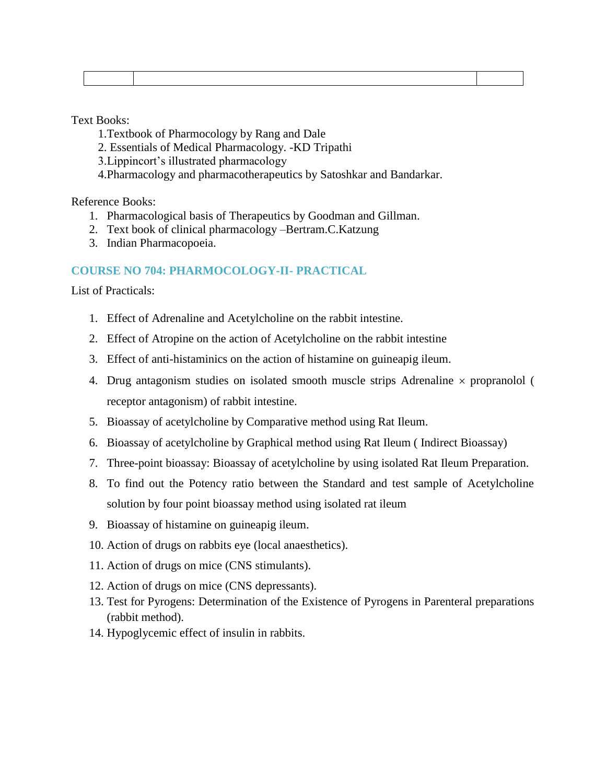Text Books:

- 1.Textbook of Pharmocology by Rang and Dale
- 2. Essentials of Medical Pharmacology. -KD Tripathi
- 3.Lippincort's illustrated pharmacology
- 4.Pharmacology and pharmacotherapeutics by Satoshkar and Bandarkar.

Reference Books:

- 1. Pharmacological basis of Therapeutics by Goodman and Gillman.
- 2. Text book of clinical pharmacology –Bertram.C.Katzung
- 3. Indian Pharmacopoeia.

#### **COURSE NO 704: PHARMOCOLOGY-II- PRACTICAL**

List of Practicals:

- 1. Effect of Adrenaline and Acetylcholine on the rabbit intestine.
- 2. Effect of Atropine on the action of Acetylcholine on the rabbit intestine
- 3. Effect of anti-histaminics on the action of histamine on guineapig ileum.
- 4. Drug antagonism studies on isolated smooth muscle strips Adrenaline  $\times$  propranolol ( receptor antagonism) of rabbit intestine.
- 5. Bioassay of acetylcholine by Comparative method using Rat Ileum.
- 6. Bioassay of acetylcholine by Graphical method using Rat Ileum ( Indirect Bioassay)
- 7. Three-point bioassay: Bioassay of acetylcholine by using isolated Rat Ileum Preparation.
- 8. To find out the Potency ratio between the Standard and test sample of Acetylcholine solution by four point bioassay method using isolated rat ileum
- 9. Bioassay of histamine on guineapig ileum.
- 10. Action of drugs on rabbits eye (local anaesthetics).
- 11. Action of drugs on mice (CNS stimulants).
- 12. Action of drugs on mice (CNS depressants).
- 13. Test for Pyrogens: Determination of the Existence of Pyrogens in Parenteral preparations (rabbit method).
- 14. Hypoglycemic effect of insulin in rabbits.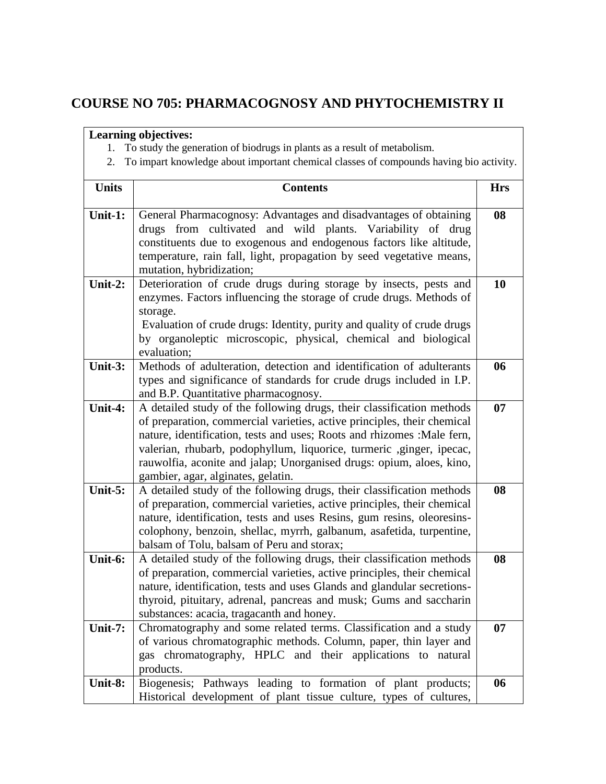## **COURSE NO 705: PHARMACOGNOSY AND PHYTOCHEMISTRY II**

- 1. To study the generation of biodrugs in plants as a result of metabolism.
- 2. To impart knowledge about important chemical classes of compounds having bio activity.

| <b>Units</b> | <b>Contents</b>                                                                                                                                                                                                                                                                                                                                                                                                    | <b>Hrs</b> |
|--------------|--------------------------------------------------------------------------------------------------------------------------------------------------------------------------------------------------------------------------------------------------------------------------------------------------------------------------------------------------------------------------------------------------------------------|------------|
| Unit-1:      | General Pharmacognosy: Advantages and disadvantages of obtaining<br>drugs from cultivated and wild plants. Variability of drug<br>constituents due to exogenous and endogenous factors like altitude,<br>temperature, rain fall, light, propagation by seed vegetative means,<br>mutation, hybridization;                                                                                                          | 08         |
| Unit-2:      | Deterioration of crude drugs during storage by insects, pests and<br>enzymes. Factors influencing the storage of crude drugs. Methods of<br>storage.<br>Evaluation of crude drugs: Identity, purity and quality of crude drugs<br>by organoleptic microscopic, physical, chemical and biological<br>evaluation;                                                                                                    | 10         |
| Unit-3:      | Methods of adulteration, detection and identification of adulterants<br>types and significance of standards for crude drugs included in I.P.<br>and B.P. Quantitative pharmacognosy.                                                                                                                                                                                                                               | 06         |
| Unit-4:      | A detailed study of the following drugs, their classification methods<br>of preparation, commercial varieties, active principles, their chemical<br>nature, identification, tests and uses; Roots and rhizomes : Male fern,<br>valerian, rhubarb, podophyllum, liquorice, turmeric , ginger, ipecac,<br>rauwolfia, aconite and jalap; Unorganised drugs: opium, aloes, kino,<br>gambier, agar, alginates, gelatin. | 07         |
| Unit- $5:$   | A detailed study of the following drugs, their classification methods<br>of preparation, commercial varieties, active principles, their chemical<br>nature, identification, tests and uses Resins, gum resins, oleoresins-<br>colophony, benzoin, shellac, myrrh, galbanum, asafetida, turpentine,<br>balsam of Tolu, balsam of Peru and storax;                                                                   | 08         |
| Unit-6:      | A detailed study of the following drugs, their classification methods<br>of preparation, commercial varieties, active principles, their chemical<br>nature, identification, tests and uses Glands and glandular secretions-<br>thyroid, pituitary, adrenal, pancreas and musk; Gums and saccharin<br>substances: acacia, tragacanth and honey.                                                                     | 08         |
| Unit-7:      | Chromatography and some related terms. Classification and a study<br>of various chromatographic methods. Column, paper, thin layer and<br>gas chromatography, HPLC and their applications to natural<br>products.                                                                                                                                                                                                  | 07         |
| Unit-8:      | Biogenesis; Pathways leading to formation of plant products;<br>Historical development of plant tissue culture, types of cultures,                                                                                                                                                                                                                                                                                 | 06         |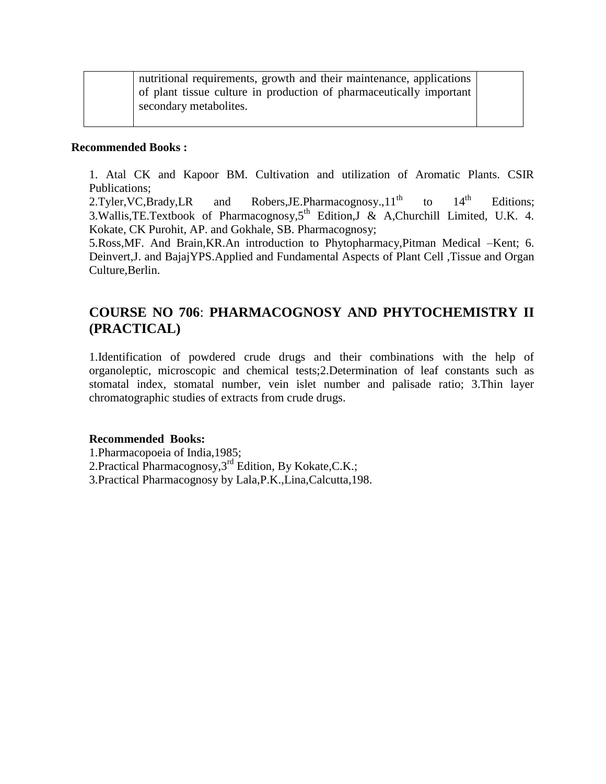| nutritional requirements, growth and their maintenance, applications |  |
|----------------------------------------------------------------------|--|
| of plant tissue culture in production of pharmaceutically important  |  |
| secondary metabolites.                                               |  |

#### **Recommended Books :**

1. Atal CK and Kapoor BM. Cultivation and utilization of Aromatic Plants. CSIR Publications;

2.Tyler, VC, Brady, LR and Robers, J.E. Pharmacognosy.,  $11<sup>th</sup>$  to  $14<sup>th</sup>$  Editions; 3. Wallis, TE. Textbook of Pharmacognosy,  $5<sup>th</sup>$  Edition, J & A, Churchill Limited, U.K. 4. Kokate, CK Purohit, AP. and Gokhale, SB. Pharmacognosy;

5.Ross,MF. And Brain,KR.An introduction to Phytopharmacy,Pitman Medical –Kent; 6. Deinvert,J. and BajajYPS.Applied and Fundamental Aspects of Plant Cell ,Tissue and Organ Culture,Berlin.

## **COURSE NO 706**: **PHARMACOGNOSY AND PHYTOCHEMISTRY II (PRACTICAL)**

1.Identification of powdered crude drugs and their combinations with the help of organoleptic, microscopic and chemical tests;2.Determination of leaf constants such as stomatal index, stomatal number, vein islet number and palisade ratio; 3.Thin layer chromatographic studies of extracts from crude drugs.

#### **Recommended Books:**

1.Pharmacopoeia of India,1985; 2.Practical Pharmacognosy, 3<sup>rd</sup> Edition, By Kokate, C.K.;

3.Practical Pharmacognosy by Lala,P.K.,Lina,Calcutta,198.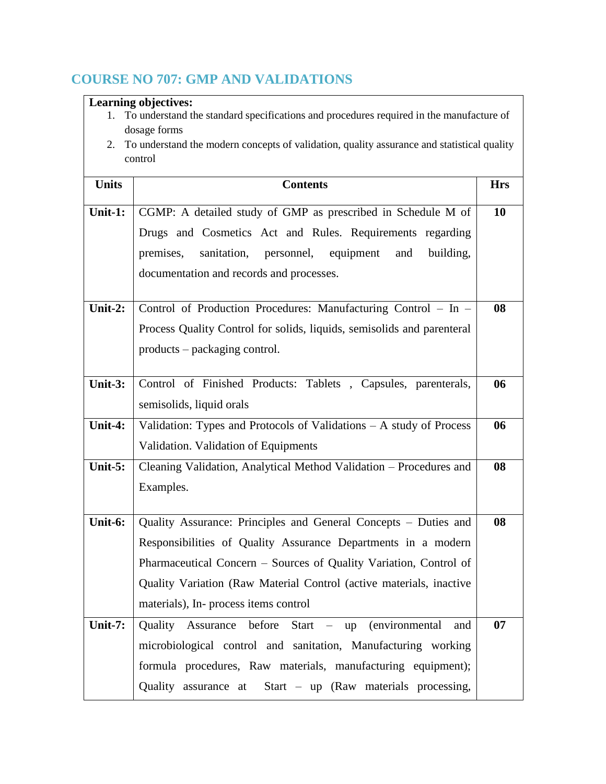# **COURSE NO 707: GMP AND VALIDATIONS**

| <b>Learning objectives:</b> |                                                                                                         |            |
|-----------------------------|---------------------------------------------------------------------------------------------------------|------------|
|                             | To understand the standard specifications and procedures required in the manufacture of<br>dosage forms |            |
| 2.                          | To understand the modern concepts of validation, quality assurance and statistical quality              |            |
|                             | control                                                                                                 |            |
|                             |                                                                                                         |            |
| <b>Units</b>                | <b>Contents</b>                                                                                         | <b>Hrs</b> |
| Unit-1:                     | CGMP: A detailed study of GMP as prescribed in Schedule M of                                            | <b>10</b>  |
|                             | Drugs and Cosmetics Act and Rules. Requirements regarding                                               |            |
|                             | premises,<br>sanitation, personnel, equipment<br>and<br>building,                                       |            |
|                             | documentation and records and processes.                                                                |            |
|                             |                                                                                                         |            |
| Unit-2:                     | Control of Production Procedures: Manufacturing Control - In -                                          | 08         |
|                             | Process Quality Control for solids, liquids, semisolids and parenteral                                  |            |
|                             | products – packaging control.                                                                           |            |
|                             |                                                                                                         |            |
| Unit- $3:$                  | Control of Finished Products: Tablets, Capsules, parenterals,                                           | 06         |
|                             | semisolids, liquid orals                                                                                |            |
| Unit-4:                     | Validation: Types and Protocols of Validations - A study of Process                                     | 06         |
|                             | Validation. Validation of Equipments                                                                    |            |
| Unit- $5:$                  | Cleaning Validation, Analytical Method Validation - Procedures and                                      | 08         |
|                             | Examples.                                                                                               |            |
|                             |                                                                                                         |            |
| Unit-6:                     | Quality Assurance: Principles and General Concepts - Duties and                                         | 08         |
|                             | Responsibilities of Quality Assurance Departments in a modern                                           |            |
|                             | Pharmaceutical Concern – Sources of Quality Variation, Control of                                       |            |
|                             | Quality Variation (Raw Material Control (active materials, inactive                                     |            |
|                             | materials), In- process items control                                                                   |            |
| Unit-7:                     | $Start - up$<br>(environmental)<br>Quality Assurance before<br>and                                      | 07         |
|                             | microbiological control and sanitation, Manufacturing working                                           |            |
|                             | formula procedures, Raw materials, manufacturing equipment);                                            |            |
|                             | Quality assurance at<br>Start – up (Raw materials processing,                                           |            |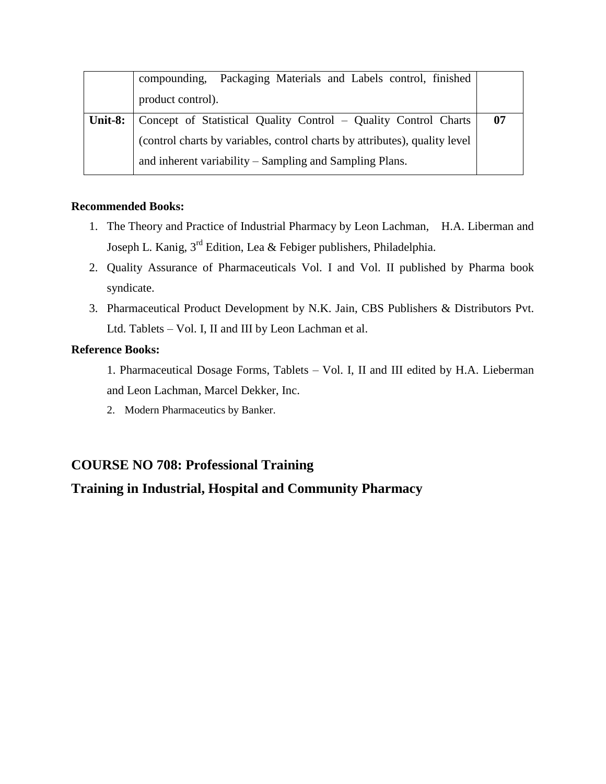|         | compounding, Packaging Materials and Labels control, finished              |    |
|---------|----------------------------------------------------------------------------|----|
|         | product control).                                                          |    |
| Unit-8: | Concept of Statistical Quality Control – Quality Control Charts            | 07 |
|         | (control charts by variables, control charts by attributes), quality level |    |
|         | and inherent variability – Sampling and Sampling Plans.                    |    |

#### **Recommended Books:**

- 1. The Theory and Practice of Industrial Pharmacy by Leon Lachman, H.A. Liberman and Joseph L. Kanig, 3rd Edition, Lea & Febiger publishers, Philadelphia.
- 2. Quality Assurance of Pharmaceuticals Vol. I and Vol. II published by Pharma book syndicate.
- 3. Pharmaceutical Product Development by N.K. Jain, CBS Publishers & Distributors Pvt. Ltd. Tablets – Vol. I, II and III by Leon Lachman et al.

### **Reference Books:**

1. Pharmaceutical Dosage Forms, Tablets – Vol. I, II and III edited by H.A. Lieberman and Leon Lachman, Marcel Dekker, Inc.

2. Modern Pharmaceutics by Banker.

### **COURSE NO 708: Professional Training**

### **Training in Industrial, Hospital and Community Pharmacy**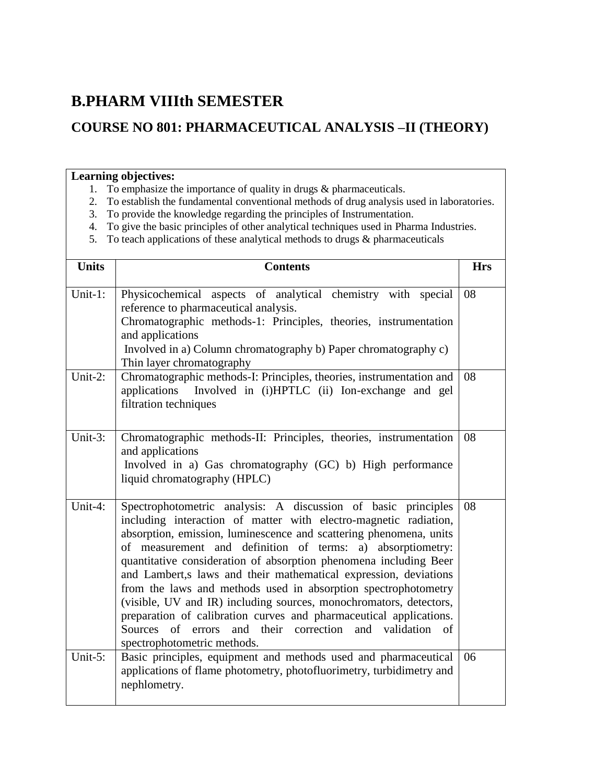# **B.PHARM VIIIth SEMESTER**

# **COURSE NO 801: PHARMACEUTICAL ANALYSIS –II (THEORY)**

- 1. To emphasize the importance of quality in drugs & pharmaceuticals.
- 2. To establish the fundamental conventional methods of drug analysis used in laboratories.
- 3. To provide the knowledge regarding the principles of Instrumentation.
- 4. To give the basic principles of other analytical techniques used in Pharma Industries.
- 5. To teach applications of these analytical methods to drugs & pharmaceuticals

| <b>Units</b> | <b>Contents</b>                                                                                                                                                                                                                                                                                                                                                                                                                                                                                                                                                                                                                                                                                                                  | <b>Hrs</b> |
|--------------|----------------------------------------------------------------------------------------------------------------------------------------------------------------------------------------------------------------------------------------------------------------------------------------------------------------------------------------------------------------------------------------------------------------------------------------------------------------------------------------------------------------------------------------------------------------------------------------------------------------------------------------------------------------------------------------------------------------------------------|------------|
| Unit-1:      | Physicochemical aspects of analytical chemistry with special<br>reference to pharmaceutical analysis.<br>Chromatographic methods-1: Principles, theories, instrumentation<br>and applications<br>Involved in a) Column chromatography b) Paper chromatography c)<br>Thin layer chromatography                                                                                                                                                                                                                                                                                                                                                                                                                                    | 08         |
| Unit-2:      | Chromatographic methods-I: Principles, theories, instrumentation and<br>applications Involved in (i)HPTLC (ii) Ion-exchange and gel<br>filtration techniques                                                                                                                                                                                                                                                                                                                                                                                                                                                                                                                                                                     | 08         |
| Unit-3:      | Chromatographic methods-II: Principles, theories, instrumentation<br>and applications<br>Involved in a) Gas chromatography (GC) b) High performance<br>liquid chromatography (HPLC)                                                                                                                                                                                                                                                                                                                                                                                                                                                                                                                                              | 08         |
| Unit-4:      | Spectrophotometric analysis: A discussion of basic principles<br>including interaction of matter with electro-magnetic radiation,<br>absorption, emission, luminescence and scattering phenomena, units<br>of measurement and definition of terms: a) absorptiometry:<br>quantitative consideration of absorption phenomena including Beer<br>and Lambert,s laws and their mathematical expression, deviations<br>from the laws and methods used in absorption spectrophotometry<br>(visible, UV and IR) including sources, monochromators, detectors,<br>preparation of calibration curves and pharmaceutical applications.<br>Sources of<br>and their correction and validation<br>errors<br>of<br>spectrophotometric methods. | 08         |
| Unit- $5$ :  | Basic principles, equipment and methods used and pharmaceutical<br>applications of flame photometry, photofluorimetry, turbidimetry and<br>nephlometry.                                                                                                                                                                                                                                                                                                                                                                                                                                                                                                                                                                          | 06         |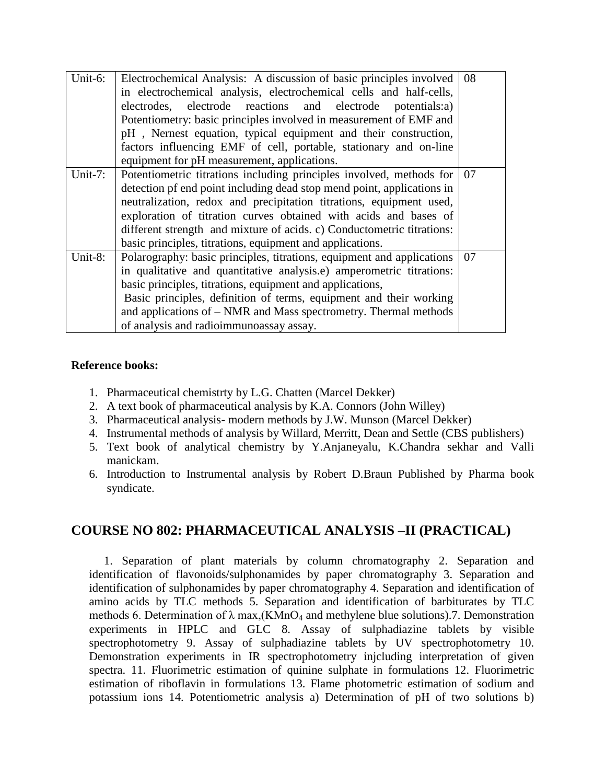| Unit-6:    | Electrochemical Analysis: A discussion of basic principles involved<br>in electrochemical analysis, electrochemical cells and half-cells,<br>electrodes, electrode reactions and electrode potentials:a)<br>Potentiometry: basic principles involved in measurement of EMF and<br>pH, Nernest equation, typical equipment and their construction,<br>factors influencing EMF of cell, portable, stationary and on-line<br>equipment for pH measurement, applications. | 08 |
|------------|-----------------------------------------------------------------------------------------------------------------------------------------------------------------------------------------------------------------------------------------------------------------------------------------------------------------------------------------------------------------------------------------------------------------------------------------------------------------------|----|
| Unit- $7:$ | Potentiometric titrations including principles involved, methods for<br>detection pf end point including dead stop mend point, applications in<br>neutralization, redox and precipitation titrations, equipment used,<br>exploration of titration curves obtained with acids and bases of<br>different strength and mixture of acids. c) Conductometric titrations:<br>basic principles, titrations, equipment and applications.                                      | 07 |
| Unit-8:    | Polarography: basic principles, titrations, equipment and applications<br>in qualitative and quantitative analysis.e) amperometric titrations:<br>basic principles, titrations, equipment and applications,<br>Basic principles, definition of terms, equipment and their working<br>and applications of – NMR and Mass spectrometry. Thermal methods<br>of analysis and radioimmunoassay assay.                                                                      | 07 |

#### **Reference books:**

- 1. Pharmaceutical chemistrty by L.G. Chatten (Marcel Dekker)
- 2. A text book of pharmaceutical analysis by K.A. Connors (John Willey)
- 3. Pharmaceutical analysis- modern methods by J.W. Munson (Marcel Dekker)
- 4. Instrumental methods of analysis by Willard, Merritt, Dean and Settle (CBS publishers)
- 5. Text book of analytical chemistry by Y.Anjaneyalu, K.Chandra sekhar and Valli manickam.
- 6. Introduction to Instrumental analysis by Robert D.Braun Published by Pharma book syndicate.

### **COURSE NO 802: PHARMACEUTICAL ANALYSIS –II (PRACTICAL)**

 1. Separation of plant materials by column chromatography 2. Separation and identification of flavonoids/sulphonamides by paper chromatography 3. Separation and identification of sulphonamides by paper chromatography 4. Separation and identification of amino acids by TLC methods 5. Separation and identification of barbiturates by TLC methods 6. Determination of  $\lambda$  max, (KMnO<sub>4</sub> and methylene blue solutions). 7. Demonstration experiments in HPLC and GLC 8. Assay of sulphadiazine tablets by visible spectrophotometry 9. Assay of sulphadiazine tablets by UV spectrophotometry 10. Demonstration experiments in IR spectrophotometry injcluding interpretation of given spectra. 11. Fluorimetric estimation of quinine sulphate in formulations 12. Fluorimetric estimation of riboflavin in formulations 13. Flame photometric estimation of sodium and potassium ions 14. Potentiometric analysis a) Determination of pH of two solutions b)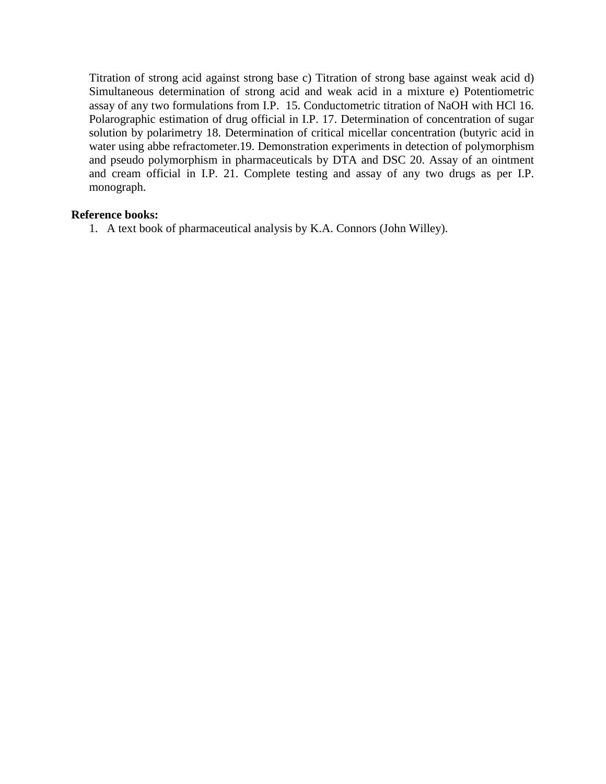Titration of strong acid against strong base c) Titration of strong base against weak acid d) Simultaneous determination of strong acid and weak acid in a mixture e) Potentiometric assay of any two formulations from I.P. 15. Conductometric titration of NaOH with HCl 16. Polarographic estimation of drug official in I.P. 17. Determination of concentration of sugar solution by polarimetry 18. Determination of critical micellar concentration (butyric acid in water using abbe refractometer.19. Demonstration experiments in detection of polymorphism and pseudo polymorphism in pharmaceuticals by DTA and DSC 20. Assay of an ointment and cream official in I.P. 21. Complete testing and assay of any two drugs as per I.P. monograph.

#### **Reference books:**

1. A text book of pharmaceutical analysis by K.A. Connors (John Willey).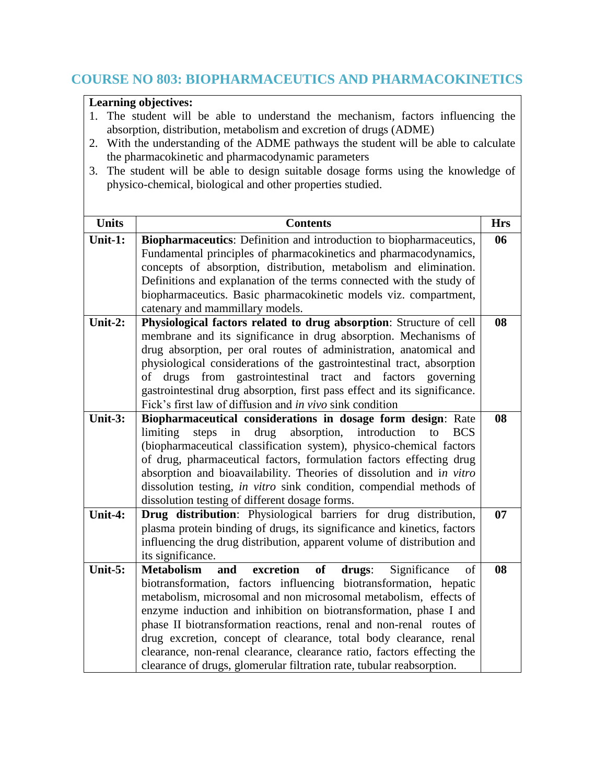### **COURSE NO 803: BIOPHARMACEUTICS AND PHARMACOKINETICS**

- 1. The student will be able to understand the mechanism, factors influencing the absorption, distribution, metabolism and excretion of drugs (ADME)
- 2. With the understanding of the ADME pathways the student will be able to calculate the pharmacokinetic and pharmacodynamic parameters
- 3. The student will be able to design suitable dosage forms using the knowledge of physico-chemical, biological and other properties studied.

| <b>Units</b> | <b>Contents</b>                                                                                                                             | <b>Hrs</b> |
|--------------|---------------------------------------------------------------------------------------------------------------------------------------------|------------|
| Unit-1:      | Biopharmaceutics: Definition and introduction to biopharmaceutics,                                                                          | 06         |
|              | Fundamental principles of pharmacokinetics and pharmacodynamics,                                                                            |            |
|              | concepts of absorption, distribution, metabolism and elimination.                                                                           |            |
|              | Definitions and explanation of the terms connected with the study of                                                                        |            |
|              | biopharmaceutics. Basic pharmacokinetic models viz. compartment,                                                                            |            |
|              | catenary and mammillary models.                                                                                                             |            |
| Unit-2:      | Physiological factors related to drug absorption: Structure of cell                                                                         | 08         |
|              | membrane and its significance in drug absorption. Mechanisms of                                                                             |            |
|              | drug absorption, per oral routes of administration, anatomical and                                                                          |            |
|              | physiological considerations of the gastrointestinal tract, absorption                                                                      |            |
|              | drugs from gastrointestinal tract and factors<br>of<br>governing                                                                            |            |
|              | gastrointestinal drug absorption, first pass effect and its significance.                                                                   |            |
|              | Fick's first law of diffusion and in vivo sink condition                                                                                    |            |
| Unit-3:      | Biopharmaceutical considerations in dosage form design: Rate                                                                                | 08         |
|              | drug absorption,<br>limiting<br>steps<br>in<br>introduction<br><b>BCS</b><br>to                                                             |            |
|              | (biopharmaceutical classification system), physico-chemical factors                                                                         |            |
|              | of drug, pharmaceutical factors, formulation factors effecting drug                                                                         |            |
|              | absorption and bioavailability. Theories of dissolution and in vitro<br>dissolution testing, in vitro sink condition, compendial methods of |            |
|              | dissolution testing of different dosage forms.                                                                                              |            |
| Unit-4:      | Drug distribution: Physiological barriers for drug distribution,                                                                            | 07         |
|              | plasma protein binding of drugs, its significance and kinetics, factors                                                                     |            |
|              | influencing the drug distribution, apparent volume of distribution and                                                                      |            |
|              | its significance.                                                                                                                           |            |
| Unit-5:      | excretion<br><b>Metabolism</b><br>of<br>Significance<br>and<br>drugs:<br>of                                                                 | 08         |
|              | biotransformation, factors influencing biotransformation, hepatic                                                                           |            |
|              | metabolism, microsomal and non microsomal metabolism, effects of                                                                            |            |
|              | enzyme induction and inhibition on biotransformation, phase I and                                                                           |            |
|              | phase II biotransformation reactions, renal and non-renal routes of                                                                         |            |
|              | drug excretion, concept of clearance, total body clearance, renal                                                                           |            |
|              | clearance, non-renal clearance, clearance ratio, factors effecting the                                                                      |            |
|              | clearance of drugs, glomerular filtration rate, tubular reabsorption.                                                                       |            |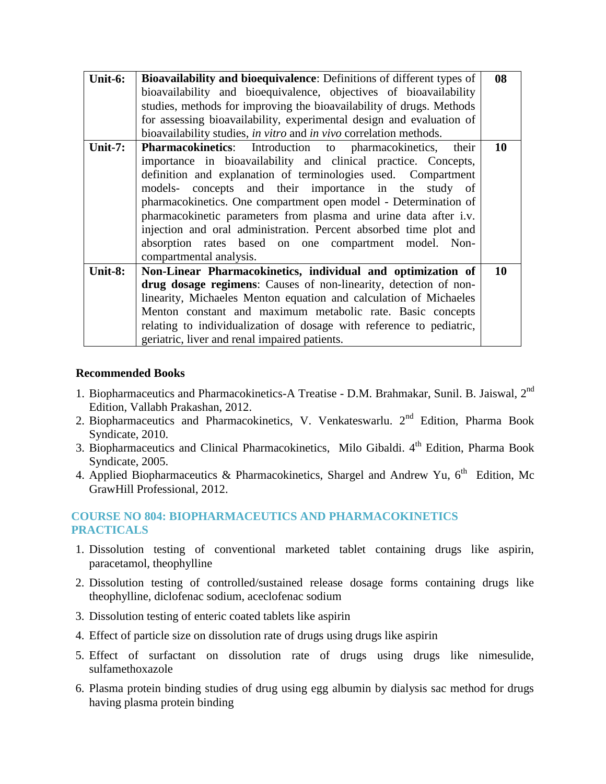| Unit-6:    | Bioavailability and bioequivalence: Definitions of different types of | 08 |
|------------|-----------------------------------------------------------------------|----|
|            | bioavailability and bioequivalence, objectives of bioavailability     |    |
|            | studies, methods for improving the bioavailability of drugs. Methods  |    |
|            | for assessing bioavailability, experimental design and evaluation of  |    |
|            | bioavailability studies, in vitro and in vivo correlation methods.    |    |
| Unit- $7:$ | Pharmacokinetics: Introduction to pharmacokinetics, their             | 10 |
|            | importance in bioavailability and clinical practice. Concepts,        |    |
|            | definition and explanation of terminologies used. Compartment         |    |
|            | models- concepts and their importance in the study of                 |    |
|            | pharmacokinetics. One compartment open model - Determination of       |    |
|            | pharmacokinetic parameters from plasma and urine data after i.v.      |    |
|            | injection and oral administration. Percent absorbed time plot and     |    |
|            | absorption rates based on one compartment model. Non-                 |    |
|            | compartmental analysis.                                               |    |
| Unit-8:    | Non-Linear Pharmacokinetics, individual and optimization of           | 10 |
|            | drug dosage regimens: Causes of non-linearity, detection of non-      |    |
|            | linearity, Michaeles Menton equation and calculation of Michaeles     |    |
|            | Menton constant and maximum metabolic rate. Basic concepts            |    |
|            | relating to individualization of dosage with reference to pediatric,  |    |
|            | geriatric, liver and renal impaired patients.                         |    |

#### **Recommended Books**

- 1. Biopharmaceutics and Pharmacokinetics-A Treatise D.M. Brahmakar, Sunil. B. Jaiswal, 2<sup>nd</sup> Edition, Vallabh Prakashan, 2012.
- 2. Biopharmaceutics and Pharmacokinetics, V. Venkateswarlu. 2<sup>nd</sup> Edition, Pharma Book Syndicate, 2010.
- 3. Biopharmaceutics and Clinical Pharmacokinetics, Milo Gibaldi. 4<sup>th</sup> Edition, Pharma Book Syndicate, 2005.
- 4. Applied Biopharmaceutics & Pharmacokinetics, Shargel and Andrew Yu,  $6^{th}$  Edition, Mc GrawHill Professional, 2012.

#### **COURSE NO 804: BIOPHARMACEUTICS AND PHARMACOKINETICS PRACTICALS**

- 1. Dissolution testing of conventional marketed tablet containing drugs like aspirin, paracetamol, theophylline
- 2. Dissolution testing of controlled/sustained release dosage forms containing drugs like theophylline, diclofenac sodium, aceclofenac sodium
- 3. Dissolution testing of enteric coated tablets like aspirin
- 4. Effect of particle size on dissolution rate of drugs using drugs like aspirin
- 5. Effect of surfactant on dissolution rate of drugs using drugs like nimesulide, sulfamethoxazole
- 6. Plasma protein binding studies of drug using egg albumin by dialysis sac method for drugs having plasma protein binding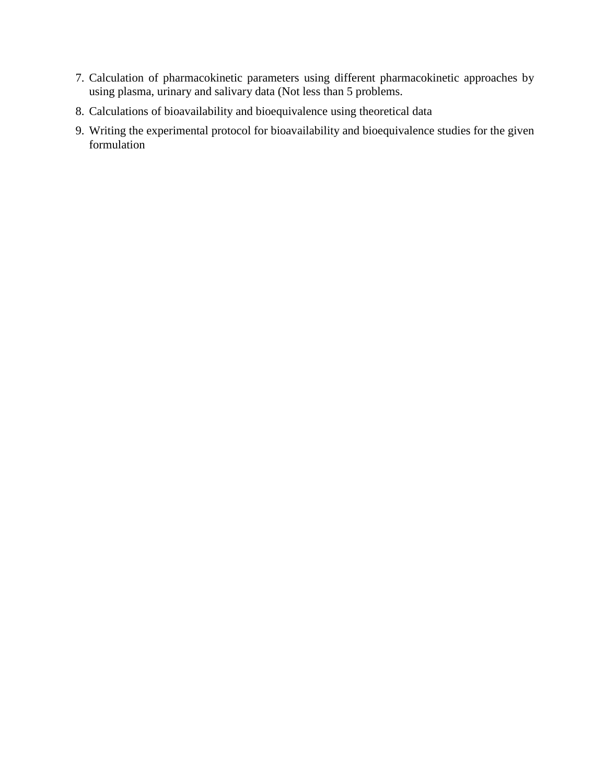- 7. Calculation of pharmacokinetic parameters using different pharmacokinetic approaches by using plasma, urinary and salivary data (Not less than 5 problems.
- 8. Calculations of bioavailability and bioequivalence using theoretical data
- 9. Writing the experimental protocol for bioavailability and bioequivalence studies for the given formulation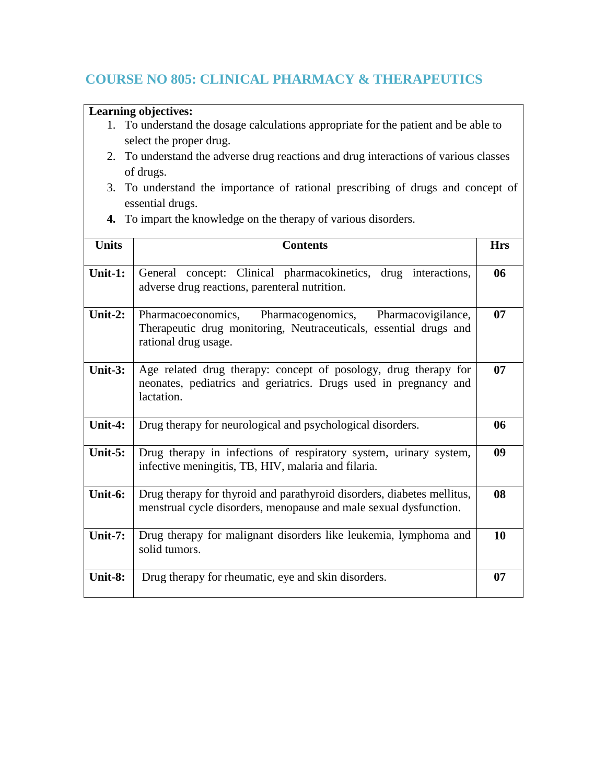# **COURSE NO 805: CLINICAL PHARMACY & THERAPEUTICS**

- 1. To understand the dosage calculations appropriate for the patient and be able to select the proper drug.
- 2. To understand the adverse drug reactions and drug interactions of various classes of drugs.
- 3. To understand the importance of rational prescribing of drugs and concept of essential drugs.
- **4.** To impart the knowledge on the therapy of various disorders.

| <b>Units</b> | <b>Contents</b>                                                                                                                                         | <b>Hrs</b> |
|--------------|---------------------------------------------------------------------------------------------------------------------------------------------------------|------------|
| Unit-1:      | General concept: Clinical pharmacokinetics, drug interactions,<br>adverse drug reactions, parenteral nutrition.                                         | 06         |
| Unit-2:      | Pharmacoeconomics, Pharmacogenomics,<br>Pharmacovigilance,<br>Therapeutic drug monitoring, Neutraceuticals, essential drugs and<br>rational drug usage. | 07         |
| Unit- $3:$   | Age related drug therapy: concept of posology, drug therapy for<br>neonates, pediatrics and geriatrics. Drugs used in pregnancy and<br>lactation.       | 07         |
| Unit-4:      | Drug therapy for neurological and psychological disorders.                                                                                              | 06         |
| Unit- $5:$   | Drug therapy in infections of respiratory system, urinary system,<br>infective meningitis, TB, HIV, malaria and filaria.                                | 09         |
| Unit-6:      | Drug therapy for thyroid and parathyroid disorders, diabetes mellitus,<br>menstrual cycle disorders, menopause and male sexual dysfunction.             | 08         |
| Unit- $7:$   | Drug therapy for malignant disorders like leukemia, lymphoma and<br>solid tumors.                                                                       | 10         |
| Unit-8:      | Drug therapy for rheumatic, eye and skin disorders.                                                                                                     | 07         |